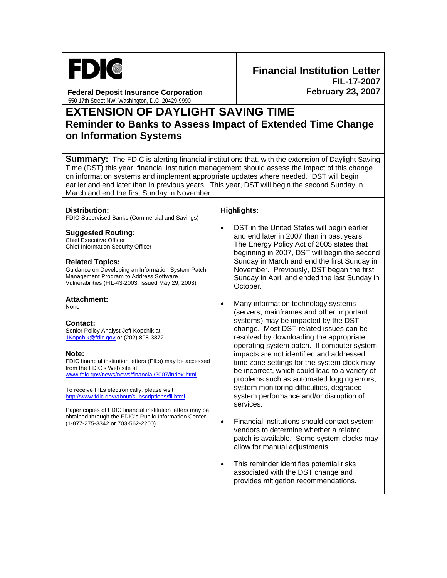

**Federal Deposit Insurance Corporation**  550 17th Street NW, Washington, D.C. 20429-9990

# **EXTENSION OF DAYLIGHT SAVING TIME Reminder to Banks to Assess Impact of Extended Time Change on Information Systems**

**Summary:** The FDIC is alerting financial institutions that, with the extension of Daylight Saving Time (DST) this year, financial institution management should assess the impact of this change on information systems and implement appropriate updates where needed. DST will begin earlier and end later than in previous years. This year, DST will begin the second Sunday in March and end the first Sunday in November.

#### **Distribution:**

FDIC-Supervised Banks (Commercial and Savings)

**Suggested Routing:** 

Chief Executive Officer Chief Information Security Officer

#### **Related Topics:**

Guidance on Developing an Information System Patch Management Program to Address Software Vulnerabilities (FIL-43-2003, issued May 29, 2003)

#### **Attachment:**

None

### **Contact:**

Senior Policy Analyst Jeff Kopchik at [JKopchik@fdic.gov](mailto:JKopchik@fdic.gov) or (202) 898-3872

#### **Note:**

FDIC financial institution letters (FILs) may be accessed from the FDIC's Web site at [www.fdic.gov/news/news/financial/2007/index.html](http://www.fdic.gov/news/news/financial/2007/index.html).

To receive FILs electronically, please visit [http://www.fdic.gov/about/subscriptions/fil.html.](http://www.fdic.gov/about/subscriptions/index.html)

Paper copies of FDIC financial institution letters may be obtained through the FDIC's Public Information Center (1-877-275-3342 or 703-562-2200).

## **Highlights:**

DST in the United States will begin earlier and end later in 2007 than in past years. The Energy Policy Act of 2005 states that beginning in 2007, DST will begin the second Sunday in March and end the first Sunday in November. Previously, DST began the first Sunday in April and ended the last Sunday in October.

- Many information technology systems (servers, mainframes and other important systems) may be impacted by the DST change. Most DST-related issues can be resolved by downloading the appropriate operating system patch. If computer system impacts are not identified and addressed, time zone settings for the system clock may be incorrect, which could lead to a variety of problems such as automated logging errors, system monitoring difficulties, degraded system performance and/or disruption of services.
- Financial institutions should contact system vendors to determine whether a related patch is available. Some system clocks may allow for manual adjustments.
- This reminder identifies potential risks associated with the DST change and provides mitigation recommendations.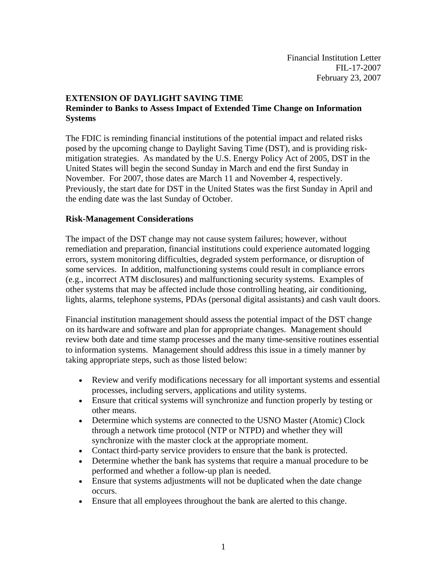# **EXTENSION OF DAYLIGHT SAVING TIME Reminder to Banks to Assess Impact of Extended Time Change on Information Systems**

The FDIC is reminding financial institutions of the potential impact and related risks posed by the upcoming change to Daylight Saving Time (DST), and is providing riskmitigation strategies. As mandated by the U.S. Energy Policy Act of 2005, DST in the United States will begin the second Sunday in March and end the first Sunday in November. For 2007, those dates are March 11 and November 4, respectively. Previously, the start date for DST in the United States was the first Sunday in April and the ending date was the last Sunday of October.

## **Risk-Management Considerations**

The impact of the DST change may not cause system failures; however, without remediation and preparation, financial institutions could experience automated logging errors, system monitoring difficulties, degraded system performance, or disruption of some services. In addition, malfunctioning systems could result in compliance errors (e.g., incorrect ATM disclosures) and malfunctioning security systems. Examples of other systems that may be affected include those controlling heating, air conditioning, lights, alarms, telephone systems, PDAs (personal digital assistants) and cash vault doors.

Financial institution management should assess the potential impact of the DST change on its hardware and software and plan for appropriate changes. Management should review both date and time stamp processes and the many time-sensitive routines essential to information systems. Management should address this issue in a timely manner by taking appropriate steps, such as those listed below:

- Review and verify modifications necessary for all important systems and essential processes, including servers, applications and utility systems.
- Ensure that critical systems will synchronize and function properly by testing or other means.
- Determine which systems are connected to the USNO Master (Atomic) Clock through a network time protocol (NTP or NTPD) and whether they will synchronize with the master clock at the appropriate moment.
- Contact third-party service providers to ensure that the bank is protected.
- Determine whether the bank has systems that require a manual procedure to be performed and whether a follow-up plan is needed.
- Ensure that systems adjustments will not be duplicated when the date change occurs.
- Ensure that all employees throughout the bank are alerted to this change.